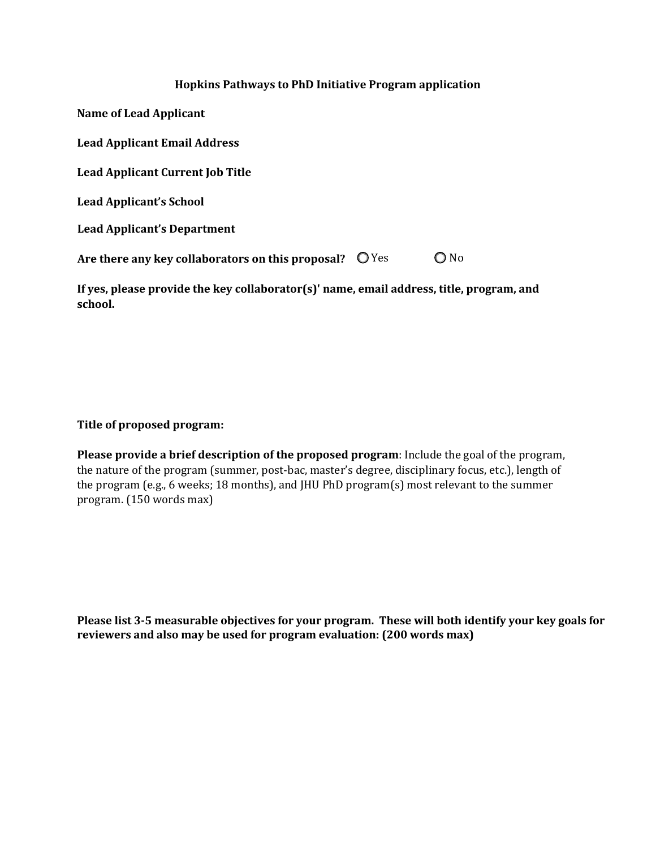## **Hopkins Pathways to PhD Initiative Program application**

| Name of Lead Applicant                            |       |  |
|---------------------------------------------------|-------|--|
| <b>Lead Applicant Email Address</b>               |       |  |
| <b>Lead Applicant Current Job Title</b>           |       |  |
| <b>Lead Applicant's School</b>                    |       |  |
| <b>Lead Applicant's Department</b>                |       |  |
| Are there any key collaborators on this proposal? | ◯ Yes |  |

**If yes, please provide the key collaborator(s)' name, email address, title, program, and school.**

## **Title of proposed program:**

**Please provide a brief description of the proposed program**: Include the goal of the program, the nature of the program (summer, post-bac, master's degree, disciplinary focus, etc.), length of the program (e.g., 6 weeks; 18 months), and JHU PhD program(s) most relevant to the summer program. (150 words max)

**Please list 3-5 measurable objectives for your program. These will both identify your key goals for reviewers and also may be used for program evaluation: (200 words max)**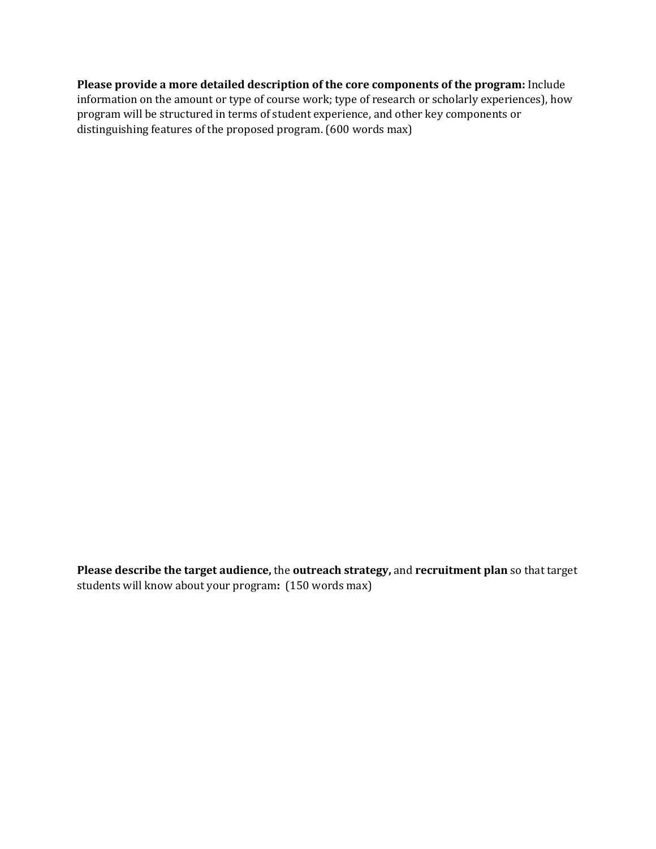**Please provide a more detailed description of the core components of the program:** Include information on the amount or type of course work; type of research or scholarly experiences), how program will be structured in terms of student experience, and other key components or distinguishing features of the proposed program. (600 words max)

**Please describe the target audience,** the **outreach strategy,** and **recruitment plan** so that target students will know about your program**:** (150 words max)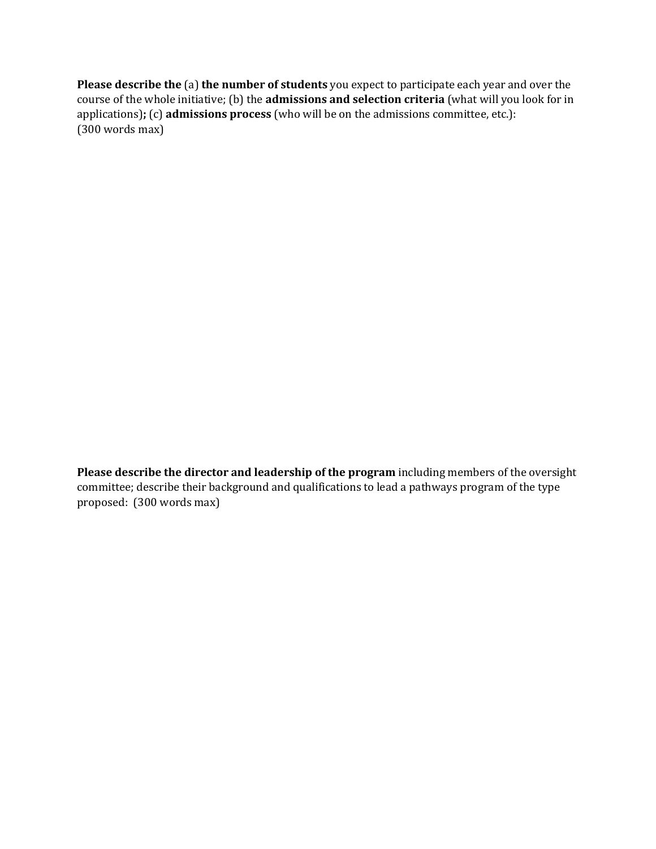**Please describe the** (a) **the number of students** you expect to participate each year and over the course of the whole initiative; (b) the **admissions and selection criteria** (what will you look for in applications)**;** (c) **admissions process** (who will be on the admissions committee, etc.): (300 words max)

**Please describe the director and leadership of the program** including members of the oversight committee; describe their background and qualifications to lead a pathways program of the type proposed: (300 words max)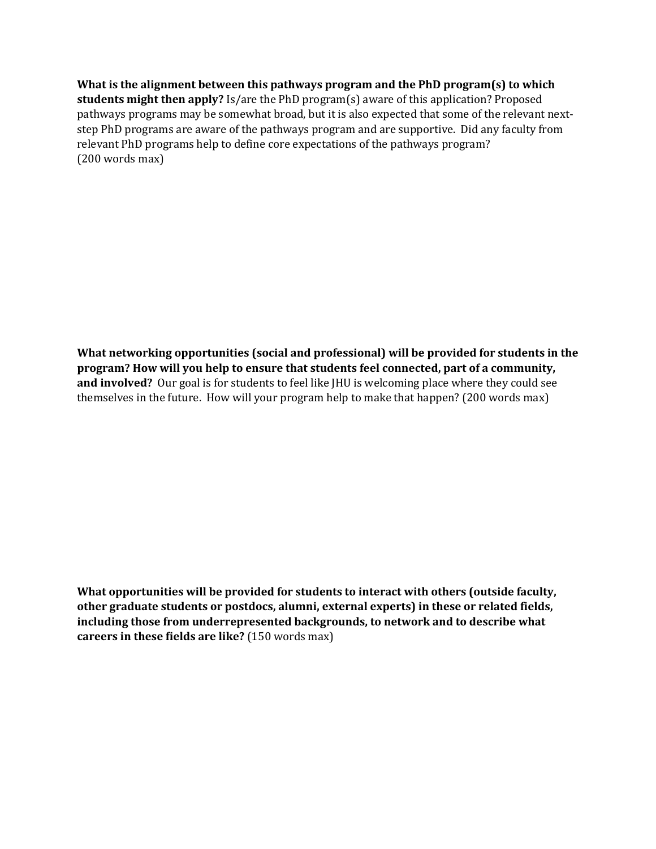**What is the alignment between this pathways program and the PhD program(s) to which students might then apply?** Is/are the PhD program(s) aware of this application? Proposed pathways programs may be somewhat broad, but it is also expected that some of the relevant nextstep PhD programs are aware of the pathways program and are supportive. Did any faculty from relevant PhD programs help to define core expectations of the pathways program? (200 words max)

**What networking opportunities (social and professional) will be provided for students in the program? How will you help to ensure that students feel connected, part of a community, and involved?** Our goal is for students to feel like JHU is welcoming place where they could see themselves in the future. How will your program help to make that happen? (200 words max)

**What opportunities will be provided for students to interact with others (outside faculty, other graduate students or postdocs, alumni, external experts) in these or related fields, including those from underrepresented backgrounds, to network and to describe what careers in these fields are like?** (150 words max)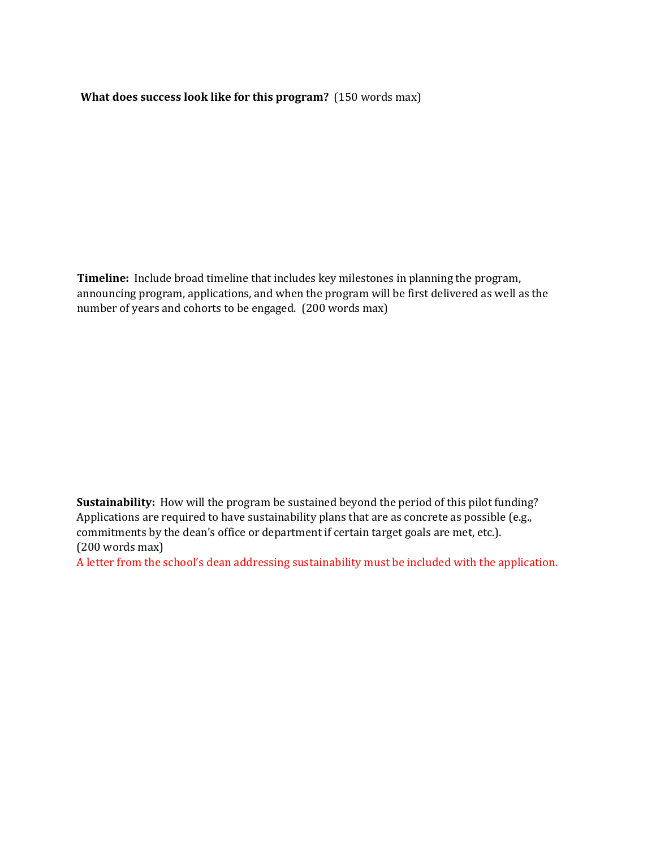**What does success look like for this program?** (150 words max)

**Timeline:** Include broad timeline that includes key milestones in planning the program, announcing program, applications, and when the program will be first delivered as well as the number of years and cohorts to be engaged. (200 words max)

**Sustainability:** How will the program be sustained beyond the period of this pilot funding? Applications are required to have sustainability plans that are as concrete as possible (e.g., commitments by the dean's office or department if certain target goals are met, etc.). (200 words max)

A letter from the school's dean addressing sustainability must be included with the application.